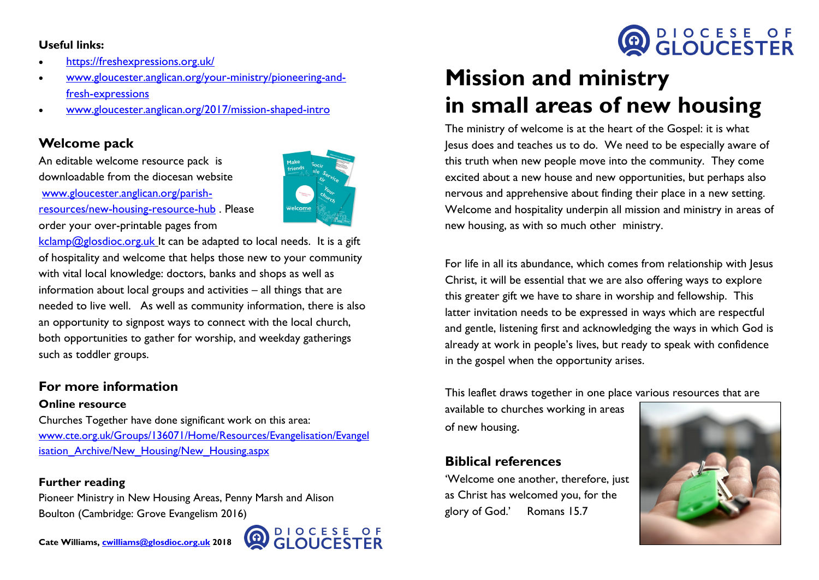#### **Useful links:**

- <https://freshexpressions.org.uk/>
- [www.gloucester.anglican.org/your-ministry/pioneering-and](http://www.gloucester.anglican.org/your-ministry/pioneering-and-fresh-expressions)[fresh-expressions](http://www.gloucester.anglican.org/your-ministry/pioneering-and-fresh-expressions)
- [www.gloucester.anglican.org/2017/mission-shaped-intro](http://www.gloucester.anglican.org/2017/mission-shaped-intro)

## **Welcome pack**

An editable welcome resource pack is downloadable from the diocesan website [www.gloucester.anglican.org/parish](http://www.gloucester.anglican.org/parish-resources/new-housing-resource-hub)[resources/new-housing-resource-hub](http://www.gloucester.anglican.org/parish-resources/new-housing-resource-hub) . Please order your over-printable pages from



 $kclamp@glosdioc.org.uk$  It can be adapted to local needs. It is a gift of hospitality and welcome that helps those new to your community with vital local knowledge: doctors, banks and shops as well as information about local groups and activities – all things that are needed to live well. As well as community information, there is also an opportunity to signpost ways to connect with the local church, both opportunities to gather for worship, and weekday gatherings such as toddler groups.

## **For more information**

#### **Online resource**

Churches Together have done significant work on this area: [www.cte.org.uk/Groups/136071/Home/Resources/Evangelisation/Evangel](http://www.cte.org.uk/Groups/136071/Home/Resources/Evangelisation/Evangelisation_Archive/New_Housing/New_Housing.aspx) isation Archive/New Housing/New Housing.aspx

#### **Further reading**

Pioneer Ministry in New Housing Areas, Penny Marsh and Alison Boulton (Cambridge: Grove Evangelism 2016)



# **Mission and ministry in small areas of new housing**

The ministry of welcome is at the heart of the Gospel: it is what Jesus does and teaches us to do. We need to be especially aware of this truth when new people move into the community. They come excited about a new house and new opportunities, but perhaps also nervous and apprehensive about finding their place in a new setting. Welcome and hospitality underpin all mission and ministry in areas of new housing, as with so much other ministry.

For life in all its abundance, which comes from relationship with Jesus Christ, it will be essential that we are also offering ways to explore this greater gift we have to share in worship and fellowship. This latter invitation needs to be expressed in ways which are respectful and gentle, listening first and acknowledging the ways in which God is already at work in people's lives, but ready to speak with confidence in the gospel when the opportunity arises.

This leaflet draws together in one place various resources that are

available to churches working in areas of new housing.

# **Biblical references**

'Welcome one another, therefore, just as Christ has welcomed you, for the glory of God.' Romans 15.7



**OD DIOCESE OF**